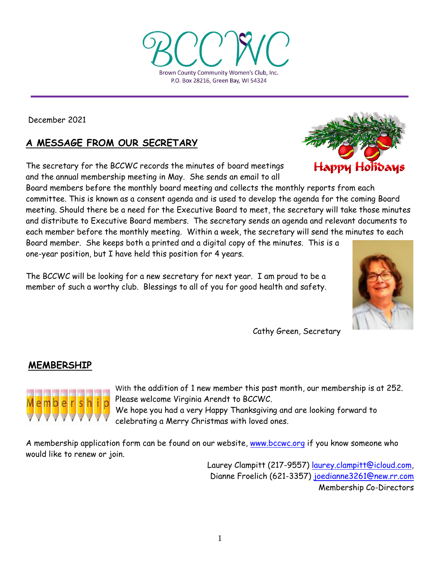Brown County Community Women's Club, Inc. P.O. Box 28216, Green Bay, WI 54324

December 2021

# **A MESSAGE FROM OUR SECRETARY**

The secretary for the BCCWC records the minutes of board meetings and the annual membership meeting in May. She sends an email to all

Board members before the monthly board meeting and collects the monthly reports from each committee. This is known as a consent agenda and is used to develop the agenda for the coming Board meeting. Should there be a need for the Executive Board to meet, the secretary will take those minutes and distribute to Executive Board members. The secretary sends an agenda and relevant documents to each member before the monthly meeting. Within a week, the secretary will send the minutes to each Board member. She keeps both a printed and a digital copy of the minutes. This is a

one-year position, but I have held this position for 4 years.

The BCCWC will be looking for a new secretary for next year. I am proud to be a member of such a worthy club. Blessings to all of you for good health and safety.

Cathy Green, Secretary

# **MEMBERSHIP**



With the addition of 1 new member this past month, our membership is at 252. Please welcome Virginia Arendt to BCCWC.

We hope you had a very Happy Thanksgiving and are looking forward to celebrating a Merry Christmas with loved ones.

A membership application form can be found on our website, [www.bccwc.org](http://www.bccwc.org/) if you know someone who would like to renew or join.

> Laurey Clampitt (217-9557) [laurey.clampitt@icloud.com,](mailto:laurey.clampitt@icloud.com) Dianne Froelich (621-3357) [joedianne3261@new.rr.com](mailto:joedianne3261@new.rr.com) Membership Co-Directors



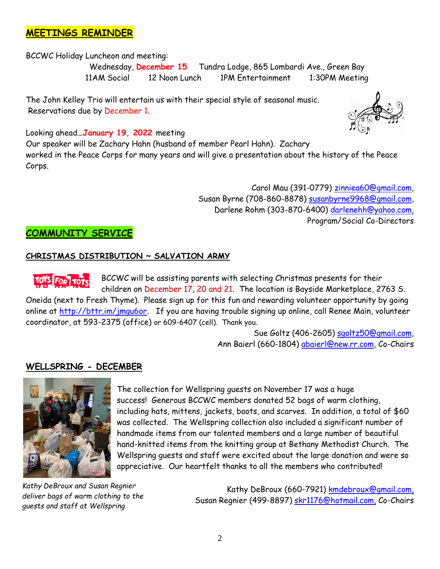# **MEETINGS REMINDER**

BCCWC Holiday Luncheon and meeting:

 Wednesday, **December 15** Tundra Lodge, 865 Lombardi Ave., Green Bay 11AM Social 12 Noon Lunch 1PM Entertainment 1:30PM Meeting

The John Kelley Trio will entertain us with their special style of seasonal music. Reservations due by December 1.



Looking ahead**…January 19, 2022** meeting

Our speaker will be Zachary Hahn (husband of member Pearl Hahn). Zachary worked in the Peace Corps for many years and will give a presentation about the history of the Peace Corps.

> Carol Mau (391-0779) [zinniea60@gmail.com,](mailto:zinniea60@gmail.com) Susan Byrne (708-860-8878) [susanbyrne9968@gmail.com,](mailto:susanbyrne9968@gmail.com) Darlene Rohm (303-870-6400) [darlenehh@yahoo.com,](mailto:darlenehh@yahoo.com) Program/Social Co-Directors

# **COMMUNITY SERVICE**

### **CHRISTMAS DISTRIBUTION ~ SALVATION ARMY**

BCCWC will be assisting parents with selecting Christmas presents for their children on December 17, 20 and 21. The location is Bayside Marketplace, 2763 S. Oneida (next to Fresh Thyme). Please sign up for this fun and rewarding volunteer opportunity by going online at [http://bttr.im/jmgu6or.](http://bttr.im/jmgu6or) If you are having trouble signing up online, call Renee Main, volunteer coordinator, at 593-2375 (office) or 609-6407 (cell). Thank you.

> Sue Goltz (406-2605) [sgoltz50@gmail.com,](mailto:sgoltz50@gmail.com) Ann Baierl (660-1804) [abaierl@new.rr.com,](mailto:abaierl@new.rr.com) Co-Chairs

## **WELLSPRING - DECEMBER**



The collection for Wellspring guests on November 17 was a huge success! Generous BCCWC members donated 52 bags of warm clothing, including hats, mittens, jackets, boots, and scarves. In addition, a total of \$60 was collected. The Wellspring collection also included a significant number of handmade items from our talented members and a large number of beautiful hand-knitted items from the knitting group at Bethany Methodist Church. The Wellspring guests and staff were excited about the large donation and were so appreciative. Our heartfelt thanks to all the members who contributed!

*Kathy DeBroux and Susan Regnier deliver bags of warm clothing to the guests and staff at Wellspring*

Kathy DeBroux (660-7921) [kmdebroux@gmail.com,](mailto:kmdebroux@gmail.com) Susan Regnier (499-8897) [skr1176@hotmail.com,](mailto:skr1176@hotmail.com) Co-Chairs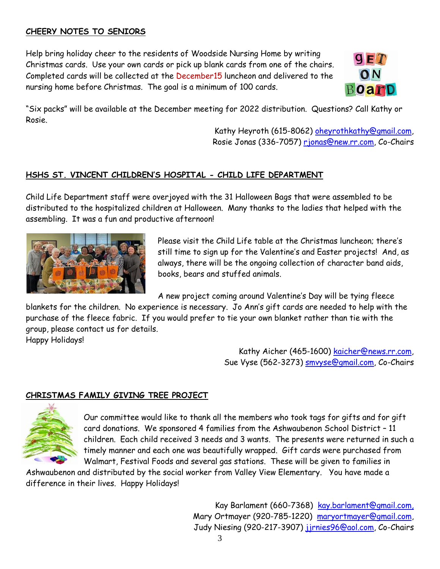## **CHEERY NOTES TO SENIORS**

Help bring holiday cheer to the residents of Woodside Nursing Home by writing Christmas cards. Use your own cards or pick up blank cards from one of the chairs. Completed cards will be collected at the December15 luncheon and delivered to the nursing home before Christmas. The goal is a minimum of 100 cards.



"Six packs" will be available at the December meeting for 2022 distribution. Questions? Call Kathy or Rosie.

> Kathy Heyroth (615-8062) [oheyrothkathy@gmail.com,](mailto:oheyrothkathy@gmail.com) Rosie Jonas (336-7057) [rjonas@new.rr.com,](mailto:rjonas@new.rr.com) Co-Chairs

## **HSHS ST. VINCENT CHILDREN'S HOSPITAL - CHILD LIFE DEPARTMENT**

Child Life Department staff were overjoyed with the 31 Halloween Bags that were assembled to be distributed to the hospitalized children at Halloween. Many thanks to the ladies that helped with the assembling. It was a fun and productive afternoon!



Please visit the Child Life table at the Christmas luncheon; there's still time to sign up for the Valentine's and Easter projects! And, as always, there will be the ongoing collection of character band aids, books, bears and stuffed animals.

A new project coming around Valentine's Day will be tying fleece

blankets for the children. No experience is necessary. Jo Ann's gift cards are needed to help with the purchase of the fleece fabric. If you would prefer to tie your own blanket rather than tie with the group, please contact us for details. Happy Holidays!

> Kathy Aicher (465-1600) [kaicher@news.rr.com,](mailto:kaicher@news.rr.com) Sue Vyse (562-3273) [smvyse@gmail.com,](mailto:smvyse@gmail.com) Co-Chairs

## **CHRISTMAS FAMILY GIVING TREE PROJECT**



Our committee would like to thank all the members who took tags for gifts and for gift card donations. We sponsored 4 families from the Ashwaubenon School District – 11 children. Each child received 3 needs and 3 wants. The presents were returned in such a timely manner and each one was beautifully wrapped. Gift cards were purchased from Walmart, Festival Foods and several gas stations. These will be given to families in

Ashwaubenon and distributed by the social worker from Valley View Elementary. You have made a difference in their lives. Happy Holidays!

> Kay Barlament (660-7368) [kay.barlament@gmail.com,](mailto:kay.barlament@gmail.com) Mary Ortmayer (920-785-1220) [maryortmayer@gmail.com,](mailto:maryortmayer@gmail.com) Judy Niesing (920-217-3907) jirnies96@aol.com, Co-Chairs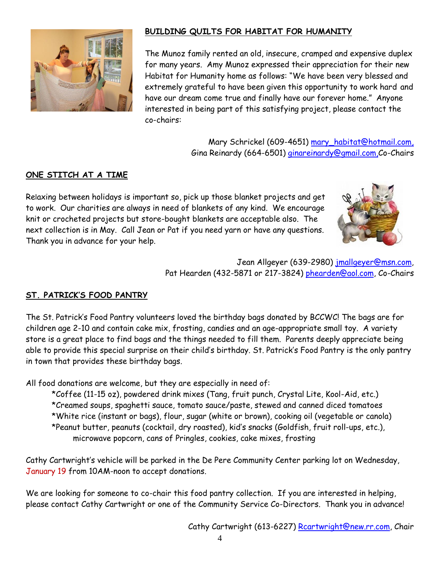

## **BUILDING QUILTS FOR HABITAT FOR HUMANITY**

The Munoz family rented an old, insecure, cramped and expensive duplex for many years. Amy Munoz expressed their appreciation for their new Habitat for Humanity home as follows: "We have been very blessed and extremely grateful to have been given this opportunity to work hard and have our dream come true and finally have our forever home." Anyone interested in being part of this satisfying project, please contact the co-chairs:

> Mary Schrickel (609-4651) [mary\\_habitat@hotmail.com,](mailto:mary_habitat@hotmail.com) Gina Reinardy (664-6501) *ginareinardy@gmail.com,Co-Chairs*

### **ONE STITCH AT A TIME**

Relaxing between holidays is important so, pick up those blanket projects and get to work. Our charities are always in need of blankets of any kind. We encourage knit or crocheted projects but store-bought blankets are acceptable also. The next collection is in May. Call Jean or Pat if you need yarn or have any questions. Thank you in advance for your help.



Jean Allgeyer (639-2980) [jmallgeyer@msn.com,](mailto:jmallgeyer@msn.com) Pat Hearden (432-5871 or 217-3824) [phearden@aol.com,](mailto:phearden@aol.com) Co-Chairs

## **ST. PATRICK'S FOOD PANTRY**

The St. Patrick's Food Pantry volunteers loved the birthday bags donated by BCCWC! The bags are for children age 2-10 and contain cake mix, frosting, candies and an age-appropriate small toy. A variety store is a great place to find bags and the things needed to fill them. Parents deeply appreciate being able to provide this special surprise on their child's birthday. St. Patrick's Food Pantry is the only pantry in town that provides these birthday bags.

All food donations are welcome, but they are especially in need of:

\*Coffee (11-15 oz), powdered drink mixes (Tang, fruit punch, Crystal Lite, Kool-Aid, etc.) \*Creamed soups, spaghetti sauce, tomato sauce/paste, stewed and canned diced tomatoes \*White rice (instant or bags), flour, sugar (white or brown), cooking oil (vegetable or canola) \*Peanut butter, peanuts (cocktail, dry roasted), kid's snacks (Goldfish, fruit roll-ups, etc.), microwave popcorn, cans of Pringles, cookies, cake mixes, frosting

Cathy Cartwright's vehicle will be parked in the De Pere Community Center parking lot on Wednesday, January 19 from 10AM-noon to accept donations.

We are looking for someone to co-chair this food pantry collection. If you are interested in helping, please contact Cathy Cartwright or one of the Community Service Co-Directors. Thank you in advance!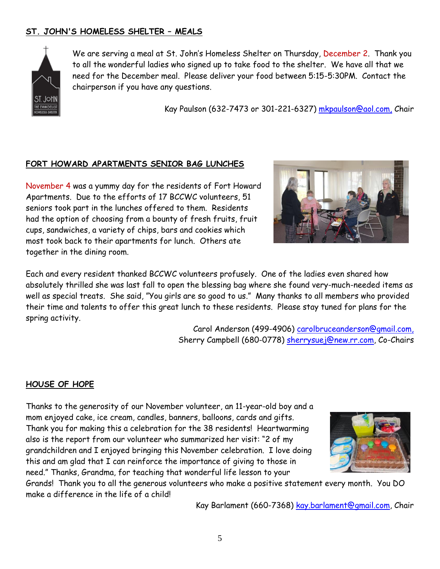# **ST. JOHN'S HOMELESS SHELTER – MEALS**



We are serving a meal at St. John's Homeless Shelter on Thursday, December 2. Thank you to all the wonderful ladies who signed up to take food to the shelter. We have all that we need for the December meal. Please deliver your food between 5:15-5:30PM. Contact the chairperson if you have any questions.

Kay Paulson (632-7473 or 301-221-6327) [mkpaulson@aol.com,](mailto:mkpaulson@aol.com) Chair

#### **FORT HOWARD APARTMENTS SENIOR BAG LUNCHES**

November 4 was a yummy day for the residents of Fort Howard Apartments. Due to the efforts of 17 BCCWC volunteers, 51 seniors took part in the lunches offered to them. Residents had the option of choosing from a bounty of fresh fruits, fruit cups, sandwiches, a variety of chips, bars and cookies which most took back to their apartments for lunch. Others ate together in the dining room.

Each and every resident thanked BCCWC volunteers profusely. One of the ladies even shared how absolutely thrilled she was last fall to open the blessing bag where she found very-much-needed items as well as special treats. She said, "You girls are so good to us." Many thanks to all members who provided their time and talents to offer this great lunch to these residents. Please stay tuned for plans for the spring activity.

> Carol Anderson (499-4906) [carolbruceanderson@gmail.com,](mailto:carolbruceanderson@gmail.com) Sherry Campbell (680-0778) [sherrysuej@new.rr.com,](mailto:sherrysuej@new.rr.com) Co-Chairs

#### **HOUSE OF HOPE**

Thanks to the generosity of our November volunteer, an 11-year-old boy and a mom enjoyed cake, ice cream, candles, banners, balloons, cards and gifts. Thank you for making this a celebration for the 38 residents! Heartwarming also is the report from our volunteer who summarized her visit: "2 of my grandchildren and I enjoyed bringing this November celebration. I love doing this and am glad that I can reinforce the importance of giving to those in need." Thanks, Grandma, for teaching that wonderful life lesson to your



Grands! Thank you to all the generous volunteers who make a positive statement every month. You DO make a difference in the life of a child!

Kay Barlament (660-7368) [kay.barlament@gmail.](mailto:kay.barlament@gmail)com, Chair

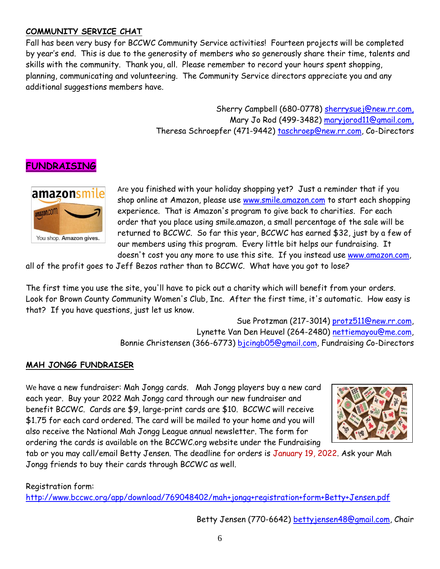## **COMMUNITY SERVICE CHAT**

Fall has been very busy for BCCWC Community Service activities! Fourteen projects will be completed by year's end. This is due to the generosity of members who so generously share their time, talents and skills with the community. Thank you, all. Please remember to record your hours spent shopping, planning, communicating and volunteering. The Community Service directors appreciate you and any additional suggestions members have.

> Sherry Campbell (680-0778) [sherrysuej@new.rr.com,](mailto:sherrysuej@new.rr.com) Mary Jo Rod (499-3482) [maryjorod11@gmail.com,](mailto:maryjorod11@gmail.com) Theresa Schroepfer (471-9442) [taschroep@new.rr.com,](mailto:taschroep@new.rr.com) Co-Directors

# **FUNDRAISING**



Are you finished with your holiday shopping yet? Just a reminder that if you shop online at Amazon, please use [www.smile.amazon.com](http://www.smile.amazon.com/) to start each shopping experience. That is Amazon's program to give back to charities. For each order that you place using smile.amazon, a small percentage of the sale will be returned to BCCWC. So far this year, BCCWC has earned \$32, just by a few of our members using this program. Every little bit helps our fundraising. It doesn't cost you any more to use this site. If you instead use [www.amazon.com,](http://www.amazon.com/)

all of the profit goes to Jeff Bezos rather than to BCCWC. What have you got to lose?

The first time you use the site, you'll have to pick out a charity which will benefit from your orders. Look for Brown County Community Women's Club, Inc. After the first time, it's automatic. How easy is that? If you have questions, just let us know.

> Sue Protzman (217-3014) [protz511@new.rr.com,](mailto:protz511@new.rr.com) Lynette Van Den Heuvel (264-2480) [nettiemayou@me.com,](mailto:nettiemayou@me.com) Bonnie Christensen (366-6773) [bjcingb05@gmail.com,](mailto:bjcingb05@gmail.com) Fundraising Co-Directors

#### **MAH JONGG FUNDRAISER**

We have a new fundraiser: Mah Jongg cards. Mah Jongg players buy a new card each year. Buy your 2022 Mah Jongg card through our new fundraiser and benefit BCCWC. Cards are \$9, large-print cards are \$10. BCCWC will receive \$1.75 for each card ordered. The card will be mailed to your home and you will also receive the National Mah Jongg League annual newsletter. The form for ordering the cards is available on the BCCWC.org website under the Fundraising



tab or you may call/email Betty Jensen. The deadline for orders is January 19, 2022. Ask your Mah Jongg friends to buy their cards through BCCWC as well.

Registration form:

<http://www.bccwc.org/app/download/769048402/mah+jongg+registration+form+Betty+Jensen.pdf>

Betty Jensen (770-6642) [bettyjensen48@gmail.com,](mailto:bettyjensen48@gmail.com) Chair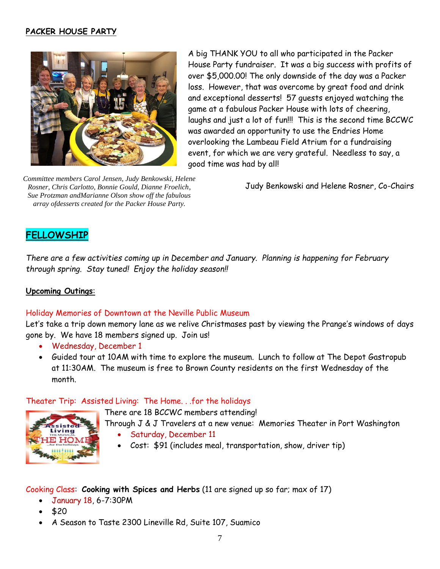### **PACKER HOUSE PARTY**



*Committee members Carol Jensen, Judy Benkowski, Helene Rosner, Chris Carlotto, Bonnie Gould, Dianne Froelich, Sue Protzman andMarianne Olson show off the fabulous array ofdesserts created for the Packer House Party.*

A big THANK YOU to all who participated in the Packer House Party fundraiser. It was a big success with profits of over \$5,000.00! The only downside of the day was a Packer loss. However, that was overcome by great food and drink and exceptional desserts! 57 guests enjoyed watching the game at a fabulous Packer House with lots of cheering, laughs and just a lot of fun!!! This is the second time BCCWC was awarded an opportunity to use the Endries Home overlooking the Lambeau Field Atrium for a fundraising event, for which we are very grateful. Needless to say, a good time was had by all!

Judy Benkowski and Helene Rosner, Co-Chairs

## **FELLOWSHIP**

*There are a few activities coming up in December and January. Planning is happening for February through spring. Stay tuned! Enjoy the holiday season!!*

#### **Upcoming Outings**:

#### Holiday Memories of Downtown at the Neville Public Museum

Let's take a trip down memory lane as we relive Christmases past by viewing the Prange's windows of days gone by. We have 18 members signed up. Join us!

- Wednesday, December 1
- Guided tour at 10AM with time to explore the museum. Lunch to follow at The Depot Gastropub at 11:30AM. The museum is free to Brown County residents on the first Wednesday of the month.

#### Theater Trip: Assisted Living: The Home. . .for the holidays

There are 18 BCCWC members attending!



Through J & J Travelers at a new venue: Memories Theater in Port Washington

- Saturday, December 11
- Cost: \$91 (includes meal, transportation, show, driver tip)

Cooking Class: **Cooking with Spices and Herbs** (11 are signed up so far; max of 17)

- January 18, 6-7:30PM
- \$20
- A Season to Taste 2300 Lineville Rd, Suite 107, Suamico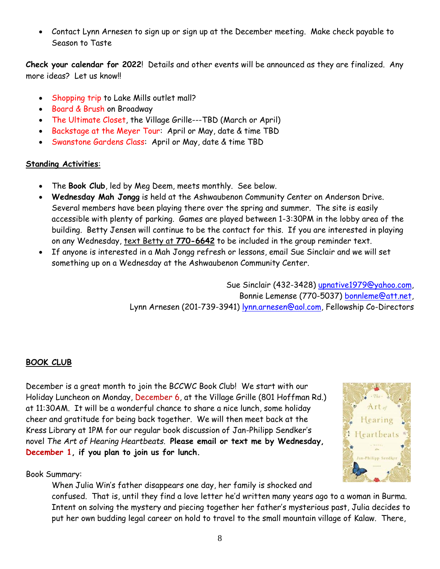Contact Lynn Arnesen to sign up or sign up at the December meeting. Make check payable to Season to Taste

**Check your calendar for 2022**! Details and other events will be announced as they are finalized. Any more ideas? Let us know!!

- Shopping trip to Lake Mills outlet mall?
- Board & Brush on Broadway
- The Ultimate Closet, the Village Grille---TBD (March or April)
- Backstage at the Meyer Tour: April or May, date & time TBD
- Swanstone Gardens Class: April or May, date & time TBD

## **Standing Activities**:

- The **Book Club**, led by Meg Deem, meets monthly. See below.
- **Wednesday Mah Jongg** is held at the Ashwaubenon Community Center on Anderson Drive. Several members have been playing there over the spring and summer. The site is easily accessible with plenty of parking. Games are played between 1-3:30PM in the lobby area of the building. Betty Jensen will continue to be the contact for this. If you are interested in playing on any Wednesday, text Betty at **770-6642** to be included in the group reminder text.
- If anyone is interested in a Mah Jongg refresh or lessons, email Sue Sinclair and we will set something up on a Wednesday at the Ashwaubenon Community Center.

Sue Sinclair (432-3428) [upnative1979@yahoo.com,](mailto:upnative1979@yahoo.com) Bonnie Lemense (770-5037) [bonnleme@att.net,](mailto:bonnleme@att.net) Lynn Arnesen (201-739-3941) [lynn.arnesen@aol.com,](mailto:lynn.arnesen@aol.com) Fellowship Co-Directors

## **BOOK CLUB**

December is a great month to join the BCCWC Book Club! We start with our Holiday Luncheon on Monday, December 6, at the Village Grille (801 Hoffman Rd.) at 11:30AM. It will be a wonderful chance to share a nice lunch, some holiday cheer and gratitude for being back together. We will then meet back at the Kress Library at 1PM for our regular book discussion of Jan-Philipp Sendker's novel *The Art of Hearing Heartbeats*. **Please email or text me by Wednesday, December 1, if you plan to join us for lunch.** 

Book Summary:

When Julia Win's father disappears one day, her family is shocked and confused. That is, until they find a love letter he'd written many years ago to a woman in Burma. Intent on solving the mystery and piecing together her father's mysterious past, Julia decides to put her own budding legal career on hold to travel to the small mountain village of Kalaw. There,

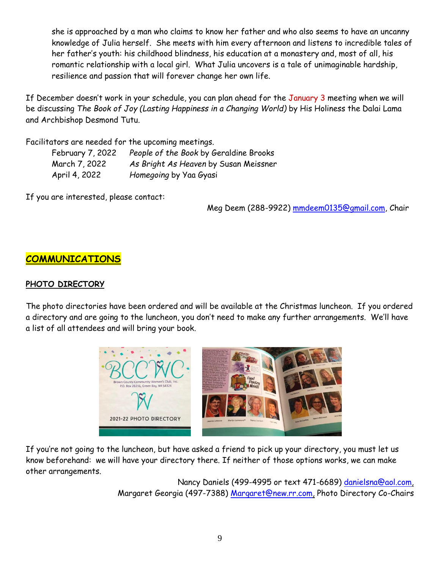she is approached by a man who claims to know her father and who also seems to have an uncanny knowledge of Julia herself. She meets with him every afternoon and listens to incredible tales of her father's youth: his childhood blindness, his education at a monastery and, most of all, his romantic relationship with a local girl. What Julia uncovers is a tale of unimaginable hardship, resilience and passion that will forever change her own life.

If December doesn't work in your schedule, you can plan ahead for the January 3 meeting when we will be discussing *The Book of Joy (Lasting Happiness in a Changing World)* by His Holiness the Dalai Lama and Archbishop Desmond Tutu.

Facilitators are needed for the upcoming meetings.

| February 7, 2022 | People of the Book by Geraldine Brooks |
|------------------|----------------------------------------|
| March 7, 2022    | As Bright As Heaven by Susan Meissner  |
| April 4, 2022    | Homegoing by Yaa Gyasi                 |

If you are interested, please contact:

Meg Deem (288-9922) [mmdeem0135@gmail.com,](mailto:mmdeem0135@gmail.com) Chair

# **COMMUNICATIONS**

### **PHOTO DIRECTORY**

The photo directories have been ordered and will be available at the Christmas luncheon. If you ordered a directory and are going to the luncheon, you don't need to make any further arrangements. We'll have a list of all attendees and will bring your book.



If you're not going to the luncheon, but have asked a friend to pick up your directory, you must let us know beforehand: we will have your directory there. If neither of those options works, we can make other arrangements.

> Nancy Daniels (499-4995 or text 471-6689) [danielsna@aol.com,](mailto:danielsna@aol.com) Margaret Georgia (497-7388) [Margaret@new.rr.com,](mailto:Margaret@new.rr.com) Photo Directory Co-Chairs